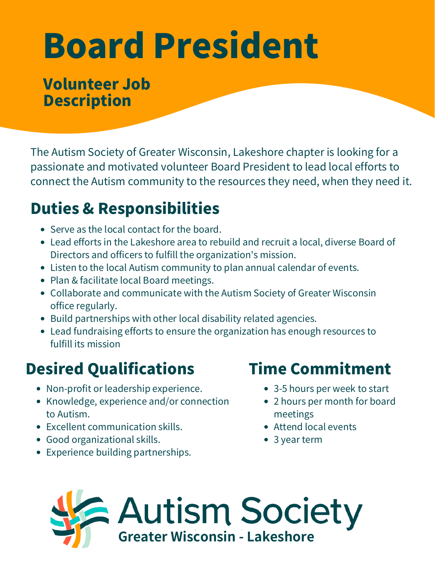# Board President

#### Volunteer Job **Description**

The Autism Society of Greater Wisconsin, Lakeshore chapter is looking for a passionate and motivated volunteer Board President to lead local efforts to connect the Autism community to the resources they need, when they need it.

## Duties & Responsibilities

- Serve as the local contact for the board.
- Lead efforts in the Lakeshore area to rebuild and recruit a local, diverse Board of Directors and officers to fulfill the organization's mission.
- Listen to the local Autism community to plan annual calendar of events.
- Plan & facilitate local Board meetings.
- Collaborate and communicate with the Autism Society of Greater Wisconsin office regularly.
- Build partnerships with other local disability related agencies.
- Lead fundraising efforts to ensure the organization has enough resources to fulfill its mission

## Desired Qualifications

- Non-profit or leadership experience.
- Knowledge, experience and/or connection to Autism.
- Excellent communication skills.
- Good organizational skills.
- Experience building partnerships.

### Time Commitment

- 3-5 hours per week to start
- 2 hours per month for board meetings
- Attend local events
- 3 year term